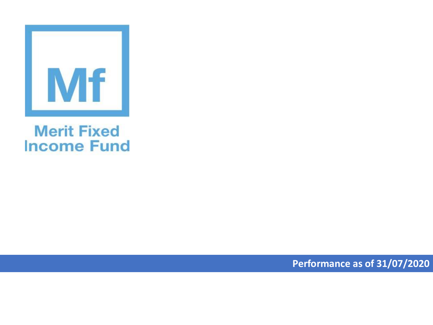

## **Merit Fixed Income Fund**

**Performance as of 31/07/2020**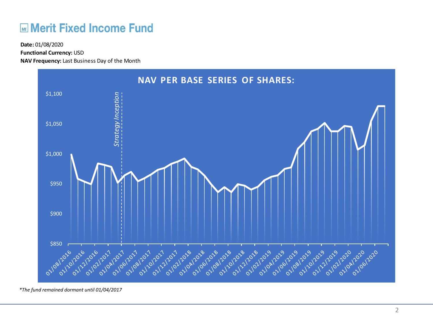## **Merit Fixed Income Fund**

**Functional Currency:** USD

**NAV Frequency:** Last Business Day of the Month